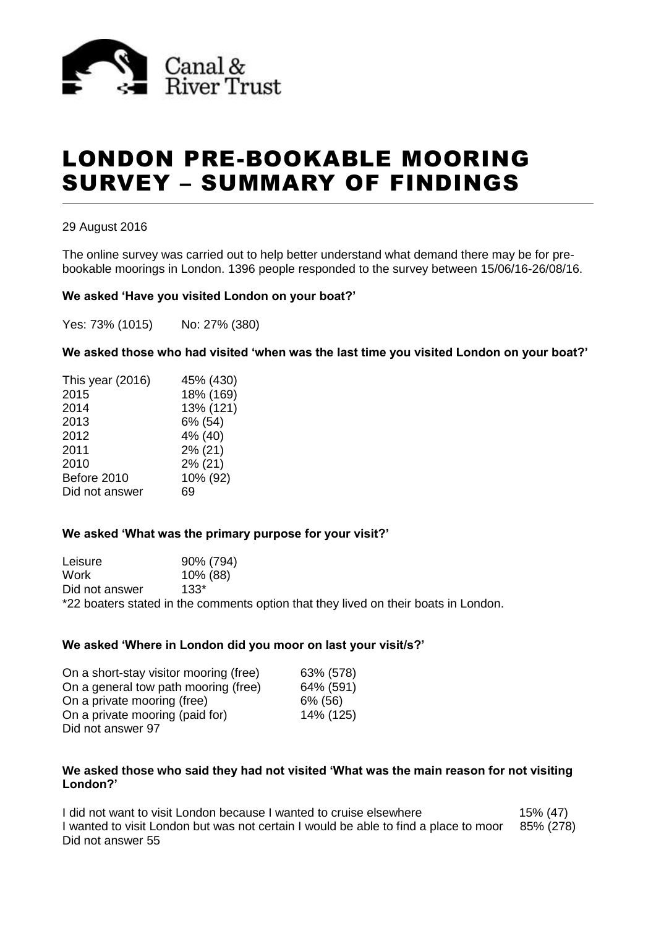

# LONDON PRE-BOOKABLE MOORING SURVEY – SUMMARY OF FINDINGS

#### 29 August 2016

The online survey was carried out to help better understand what demand there may be for prebookable moorings in London. 1396 people responded to the survey between 15/06/16-26/08/16.

#### **We asked 'Have you visited London on your boat?'**

Yes: 73% (1015) No: 27% (380)

**We asked those who had visited 'when was the last time you visited London on your boat?'**

| This year (2016) | 45% (430) |
|------------------|-----------|
| 2015             | 18% (169) |
| 2014             | 13% (121) |
| 2013             | 6% (54)   |
| 2012             | 4% (40)   |
| 2011             | 2% (21)   |
| 2010             | 2% (21)   |
| Before 2010      | 10% (92)  |
| Did not answer   | 69        |
|                  |           |

## **We asked 'What was the primary purpose for your visit?'**

Leisure 90% (794) Work 10% (88) Did not answer 133\* \*22 boaters stated in the comments option that they lived on their boats in London.

#### **We asked 'Where in London did you moor on last your visit/s?'**

| On a short-stay visitor mooring (free) | 63% (578) |
|----------------------------------------|-----------|
| On a general tow path mooring (free)   | 64% (591) |
| On a private mooring (free)            | 6% (56)   |
| On a private mooring (paid for)        | 14% (125) |
| Did not answer 97                      |           |

#### **We asked those who said they had not visited 'What was the main reason for not visiting London?'**

I did not want to visit London because I wanted to cruise elsewhere 15% (47) I wanted to visit London but was not certain I would be able to find a place to moor 85% (278) Did not answer 55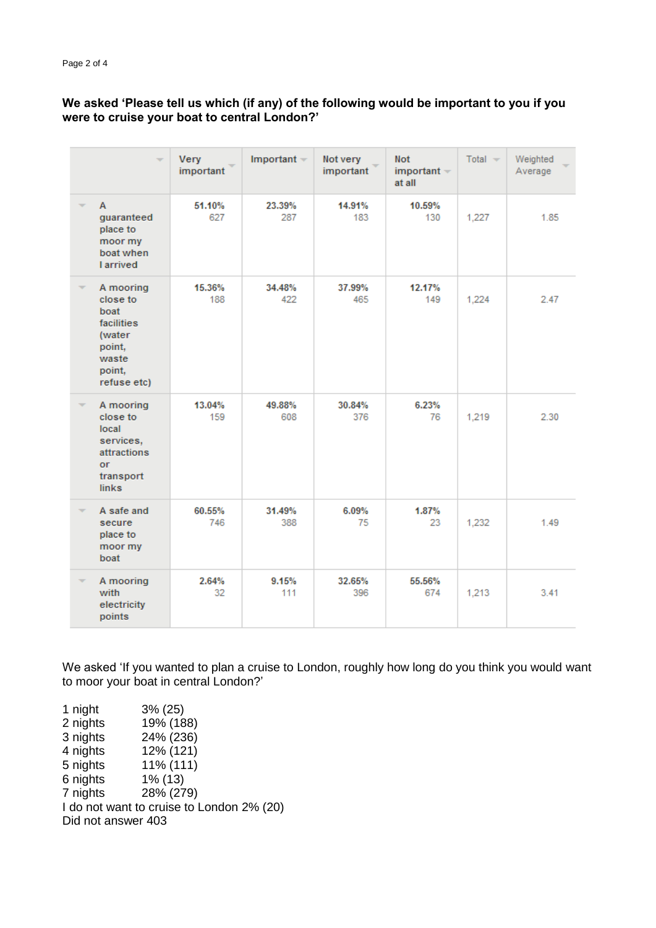# **We asked 'Please tell us which (if any) of the following would be important to you if you were to cruise your boat to central London?'**

| ÷                                                                                                        | Very<br>important | Important $-$ | Not very<br>important | <b>Not</b><br>$important$ $\sim$<br>at all | Total $-$ | Weighted<br>Average |
|----------------------------------------------------------------------------------------------------------|-------------------|---------------|-----------------------|--------------------------------------------|-----------|---------------------|
| A<br>quaranteed<br>place to<br>moor my<br>boat when<br><b>Larrived</b>                                   | 51.10%<br>627     | 23.39%<br>287 | 14.91%<br>183         | 10.59%<br>130                              | 1.227     | 1.85                |
| A mooring<br>close to<br>boat<br><b>facilities</b><br>(water<br>point,<br>waste<br>point,<br>refuse etc) | 15.36%<br>188     | 34.48%<br>422 | 37.99%<br>465         | 12.17%<br>149                              | 1,224     | 2.47                |
| A mooring<br>close to<br>local<br>services,<br>attractions<br>or<br>transport<br><b>links</b>            | 13.04%<br>159     | 49.88%<br>608 | 30.84%<br>376         | 6.23%<br>76                                | 1,219     | 2.30                |
| A safe and<br>secure<br>place to<br>moor my<br>boat                                                      | 60.55%<br>746     | 31.49%<br>388 | 6.09%<br>75           | 1.87%<br>23                                | 1,232     | 1.49                |
| A mooring<br>with<br>electricity<br>points                                                               | 2.64%<br>32       | 9.15%<br>111  | 32.65%<br>396         | 55.56%<br>674                              | 1,213     | 3.41                |

We asked 'If you wanted to plan a cruise to London, roughly how long do you think you would want to moor your boat in central London?'

1 night 3% (25)<br>2 nights 19% (18 2 nights 19% (188)<br>3 nights 24% (236)  $24\% (236)$ 4 nights 12% (121) 5 nights 11% (111) 6 nights 1% (13) 7 nights 28% (279) I do not want to cruise to London 2% (20) Did not answer 403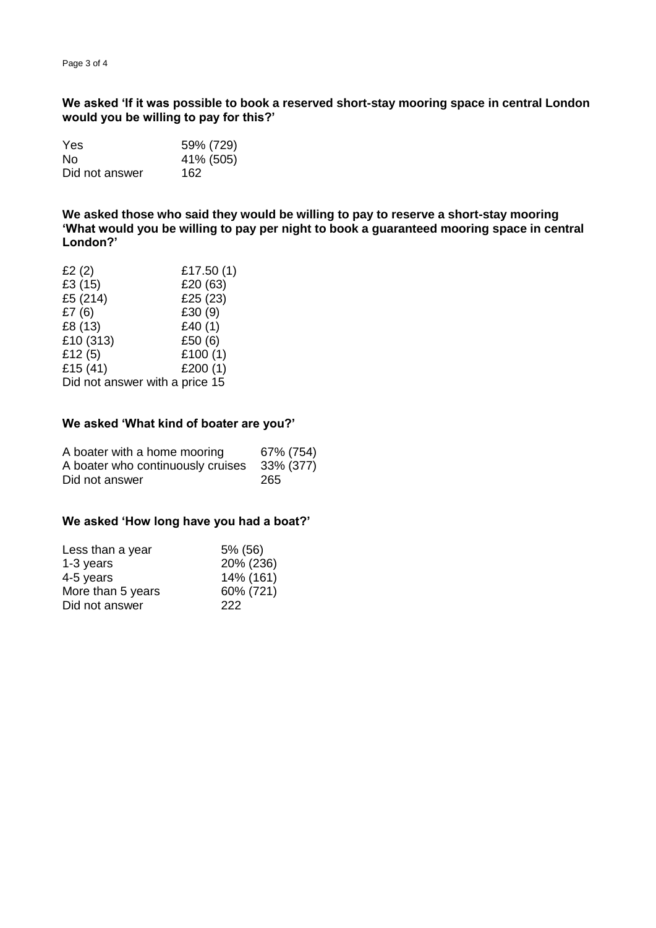**We asked 'If it was possible to book a reserved short-stay mooring space in central London would you be willing to pay for this?'**

| Yes            | 59% (729) |
|----------------|-----------|
| Nο             | 41% (505) |
| Did not answer | 162       |

**We asked those who said they would be willing to pay to reserve a short-stay mooring 'What would you be willing to pay per night to book a guaranteed mooring space in central London?'**

| £2 $(2)$                       | £17.50(1)  |
|--------------------------------|------------|
| £3 (15)                        | £20 (63)   |
| £5 (214)                       | £25 (23)   |
| £7(6)                          | £30 (9)    |
| £8 (13)                        | £40 $(1)$  |
| £10 (313)                      | £50 (6)    |
| £12 $(5)$                      | £100 $(1)$ |
| £15 $(41)$                     | £200 $(1)$ |
| Did not answer with a price 15 |            |

# **We asked 'What kind of boater are you?'**

| A boater with a home mooring                | 67% (754) |
|---------------------------------------------|-----------|
| A boater who continuously cruises 33% (377) |           |
| Did not answer                              | 265       |

#### **We asked 'How long have you had a boat?'**

| Less than a year  | 5% (56)   |
|-------------------|-----------|
| 1-3 years         | 20% (236) |
| 4-5 years         | 14% (161) |
| More than 5 years | 60% (721) |
| Did not answer    | 222       |
|                   |           |